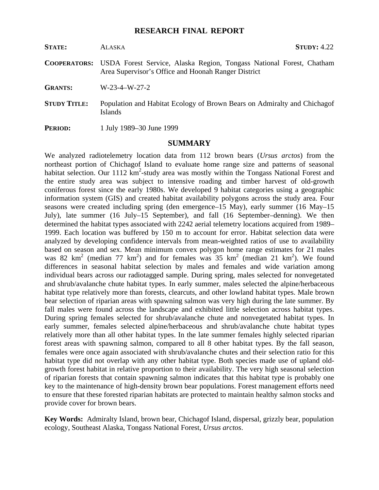# **RESEARCH FINAL REPORT**

| <b>STATE:</b>       | <b>STUDY: 4.22</b><br><b>ALASKA</b>                                                                                                      |
|---------------------|------------------------------------------------------------------------------------------------------------------------------------------|
|                     | COOPERATORS: USDA Forest Service, Alaska Region, Tongass National Forest, Chatham<br>Area Supervisor's Office and Hoonah Ranger District |
| <b>GRANTS:</b>      | $W-23-4-W-27-2$                                                                                                                          |
| <b>STUDY TITLE:</b> | Population and Habitat Ecology of Brown Bears on Admiralty and Chichagof<br>Islands                                                      |
| PERIOD:             | 1 July 1989–30 June 1999                                                                                                                 |

# **SUMMARY**

We analyzed radiotelemetry location data from 112 brown bears (*Ursus arctos*) from the northeast portion of Chichagof Island to evaluate home range size and patterns of seasonal habitat selection. Our 1112 km<sup>2</sup>-study area was mostly within the Tongass National Forest and the entire study area was subject to intensive roading and timber harvest of old-growth coniferous forest since the early 1980s. We developed 9 habitat categories using a geographic information system (GIS) and created habitat availability polygons across the study area. Four seasons were created including spring (den emergence–15 May), early summer (16 May–15 July), late summer (16 July–15 September), and fall (16 September–denning). We then determined the habitat types associated with 2242 aerial telemetry locations acquired from 1989– 1999. Each location was buffered by 150 m to account for error. Habitat selection data were analyzed by developing confidence intervals from mean-weighted ratios of use to availability based on season and sex. Mean minimum convex polygon home range estimates for 21 males was 82  $\text{km}^2$  (median 77  $\text{km}^2$ ) and for females was 35  $\text{km}^2$  (median 21  $\text{km}^2$ ). We found differences in seasonal habitat selection by males and females and wide variation among individual bears across our radiotagged sample. During spring, males selected for nonvegetated and shrub/avalanche chute habitat types. In early summer, males selected the alpine/herbaceous habitat type relatively more than forests, clearcuts, and other lowland habitat types. Male brown bear selection of riparian areas with spawning salmon was very high during the late summer. By fall males were found across the landscape and exhibited little selection across habitat types. During spring females selected for shrub/avalanche chute and nonvegetated habitat types. In early summer, females selected alpine/herbaceous and shrub/avalanche chute habitat types relatively more than all other habitat types. In the late summer females highly selected riparian forest areas with spawning salmon, compared to all 8 other habitat types. By the fall season, females were once again associated with shrub/avalanche chutes and their selection ratio for this habitat type did not overlap with any other habitat type. Both species made use of upland oldgrowth forest habitat in relative proportion to their availability. The very high seasonal selection of riparian forests that contain spawning salmon indicates that this habitat type is probably one key to the maintenance of high-density brown bear populations. Forest management efforts need to ensure that these forested riparian habitats are protected to maintain healthy salmon stocks and provide cover for brown bears.

**Key Words:** Admiralty Island, brown bear, Chichagof Island, dispersal, grizzly bear, population ecology, Southeast Alaska, Tongass National Forest, *Ursus arctos*.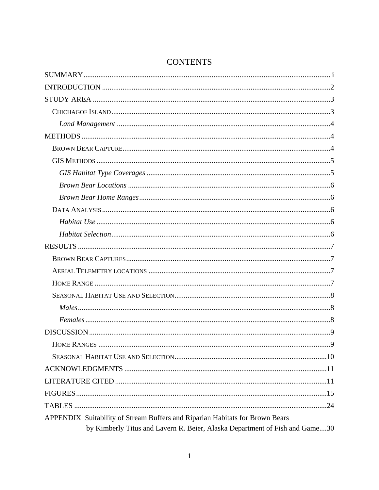| APPENDIX Suitability of Stream Buffers and Riparian Habitats for Brown Bears |
|------------------------------------------------------------------------------|
| by Kimberly Titus and Lavern R. Beier, Alaska Department of Fish and Game30  |

# **CONTENTS**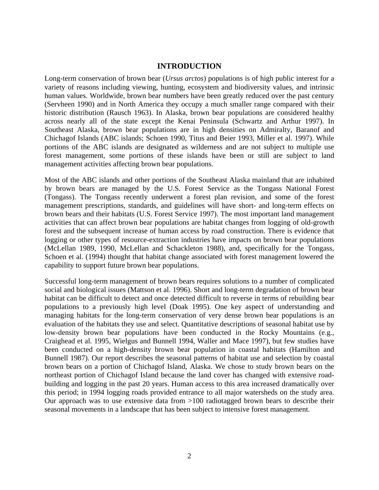# **INTRODUCTION**

Long-term conservation of brown bear (*Ursus arctos*) populations is of high public interest for a variety of reasons including viewing, hunting, ecosystem and biodiversity values, and intrinsic human values. Worldwide, brown bear numbers have been greatly reduced over the past century (Servheen 1990) and in North America they occupy a much smaller range compared with their historic distribution (Rausch 1963). In Alaska, brown bear populations are considered healthy across nearly all of the state except the Kenai Peninsula (Schwartz and Arthur 1997). In Southeast Alaska, brown bear populations are in high densities on Admiralty, Baranof and Chichagof Islands (ABC islands; Schoen 1990, Titus and Beier 1993, Miller et al. 1997). While portions of the ABC islands are designated as wilderness and are not subject to multiple use forest management, some portions of these islands have been or still are subject to land management activities affecting brown bear populations.

Most of the ABC islands and other portions of the Southeast Alaska mainland that are inhabited by brown bears are managed by the U.S. Forest Service as the Tongass National Forest (Tongass). The Tongass recently underwent a forest plan revision, and some of the forest management prescriptions, standards, and guidelines will have short- and long-term effects on brown bears and their habitats (U.S. Forest Service 1997). The most important land management activities that can affect brown bear populations are habitat changes from logging of old-growth forest and the subsequent increase of human access by road construction. There is evidence that logging or other types of resource-extraction industries have impacts on brown bear populations (McLellan 1989, 1990, McLellan and Schackleton 1988), and, specifically for the Tongass, Schoen et al. (1994) thought that habitat change associated with forest management lowered the capability to support future brown bear populations.

Successful long-term management of brown bears requires solutions to a number of complicated social and biological issues (Mattson et al. 1996). Short and long-term degradation of brown bear habitat can be difficult to detect and once detected difficult to reverse in terms of rebuilding bear populations to a previously high level (Doak 1995). One key aspect of understanding and managing habitats for the long-term conservation of very dense brown bear populations is an evaluation of the habitats they use and select. Quantitative descriptions of seasonal habitat use by low-density brown bear populations have been conducted in the Rocky Mountains (e.g., Craighead et al. 1995, Wielgus and Bunnell 1994, Waller and Mace 1997), but few studies have been conducted on a high-density brown bear population in coastal habitats (Hamilton and Bunnell 1987). Our report describes the seasonal patterns of habitat use and selection by coastal brown bears on a portion of Chichagof Island, Alaska. We chose to study brown bears on the northeast portion of Chichagof Island because the land cover has changed with extensive roadbuilding and logging in the past 20 years. Human access to this area increased dramatically over this period; in 1994 logging roads provided entrance to all major watersheds on the study area. Our approach was to use extensive data from >100 radiotagged brown bears to describe their seasonal movements in a landscape that has been subject to intensive forest management.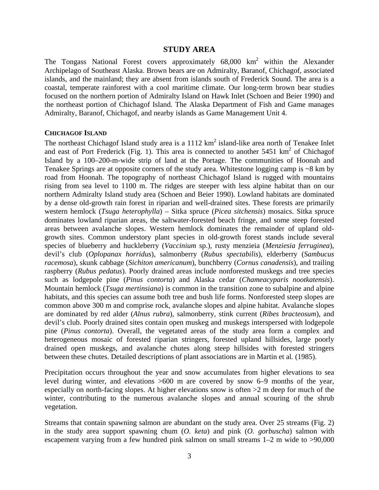#### **STUDY AREA**

The Tongass National Forest covers approximately  $68,000 \text{ km}^2$  within the Alexander Archipelago of Southeast Alaska. Brown bears are on Admiralty, Baranof, Chichagof, associated islands, and the mainland; they are absent from islands south of Frederick Sound. The area is a coastal, temperate rainforest with a cool maritime climate. Our long-term brown bear studies focused on the northern portion of Admiralty Island on Hawk Inlet (Schoen and Beier 1990) and the northeast portion of Chichagof Island. The Alaska Department of Fish and Game manages Admiralty, Baranof, Chichagof, and nearby islands as Game Management Unit 4.

#### **CHICHAGOF ISLAND**

The northeast Chichagof Island study area is a  $1112 \text{ km}^2$  island-like area north of Tenakee Inlet and east of Port Frederick (Fig. 1). This area is connected to another  $5451 \text{ km}^2$  of Chichagof Island by a 100–200-m-wide strip of land at the Portage. The communities of Hoonah and Tenakee Springs are at opposite corners of the study area. Whitestone logging camp is  $\sim 8$  km by road from Hoonah. The topography of northeast Chichagof Island is rugged with mountains rising from sea level to 1100 m. The ridges are steeper with less alpine habitat than on our northern Admiralty Island study area (Schoen and Beier 1990). Lowland habitats are dominated by a dense old-growth rain forest in riparian and well-drained sites. These forests are primarily western hemlock (*Tsuga heterophylla*) – Sitka spruce (*Picea sitchensis*) mosaics. Sitka spruce dominates lowland riparian areas, the saltwater-forested beach fringe, and some steep forested areas between avalanche slopes. Western hemlock dominates the remainder of upland oldgrowth sites. Common understory plant species in old-growth forest stands include several species of blueberry and huckleberry (*Vaccinium* sp.), rusty menzieia (*Menziesia ferruginea*), devil's club (*Oplopanax horridus*), salmonberry (*Rubus spectabilis*), elderberry (*Sambucus racemosa*), skunk cabbage (*Sichiton americanum*), bunchberry (*Cornus canadensis*), and trailing raspberry (*Rubus pedatus*). Poorly drained areas include nonforested muskegs and tree species such as lodgepole pine (*Pinus contorta*) and Alaska cedar (*Chameacyparis nootkatensis*). Mountain hemlock (*Tsuga mertinsiana*) is common in the transition zone to subalpine and alpine habitats, and this species can assume both tree and bush life forms. Nonforested steep slopes are common above 300 m and comprise rock, avalanche slopes and alpine habitat. Avalanche slopes are dominated by red alder (*Alnus rubra*), salmonberry, stink current (*Ribes bracteosum*), and devil's club. Poorly drained sites contain open muskeg and muskegs interspersed with lodgepole pine (*Pinus contorta*). Overall, the vegetated areas of the study area form a complex and heterogeneous mosaic of forested riparian stringers, forested upland hillsides, large poorly drained open muskegs, and avalanche chutes along steep hillsides with forested stringers between these chutes. Detailed descriptions of plant associations are in Martin et al. (1985).

Precipitation occurs throughout the year and snow accumulates from higher elevations to sea level during winter, and elevations >600 m are covered by snow 6–9 months of the year, especially on north-facing slopes. At higher elevations snow is often >2 m deep for much of the winter, contributing to the numerous avalanche slopes and annual scouring of the shrub vegetation.

Streams that contain spawning salmon are abundant on the study area. Over 25 streams (Fig. 2) in the study area support spawning chum (*O. keta*) and pink (*O. gorbuscha*) salmon with escapement varying from a few hundred pink salmon on small streams 1–2 m wide to >90,000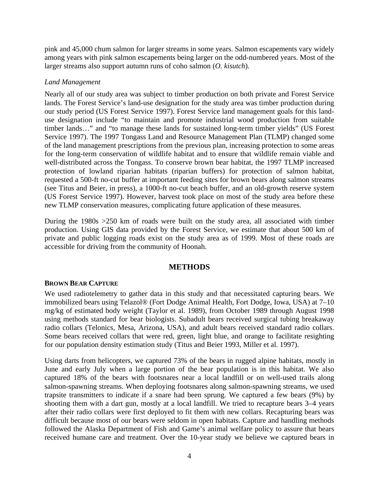pink and 45,000 chum salmon for larger streams in some years. Salmon escapements vary widely among years with pink salmon escapements being larger on the odd-numbered years. Most of the larger streams also support autumn runs of coho salmon (*O. kisutch*).

# *Land Management*

Nearly all of our study area was subject to timber production on both private and Forest Service lands. The Forest Service's land-use designation for the study area was timber production during our study period (US Forest Service 1997). Forest Service land management goals for this landuse designation include "to maintain and promote industrial wood production from suitable timber lands…" and "to manage these lands for sustained long-term timber yields" (US Forest Service 1997). The 1997 Tongass Land and Resource Management Plan (TLMP) changed some of the land management prescriptions from the previous plan, increasing protection to some areas for the long-term conservation of wildlife habitat and to ensure that wildlife remain viable and well-distributed across the Tongass. To conserve brown bear habitat, the 1997 TLMP increased protection of lowland riparian habitats (riparian buffers) for protection of salmon habitat, requested a 500-ft no-cut buffer at important feeding sites for brown bears along salmon streams (see Titus and Beier, in press), a 1000-ft no-cut beach buffer, and an old-growth reserve system (US Forest Service 1997). However, harvest took place on most of the study area before these new TLMP conservation measures, complicating future application of these measures.

During the 1980s >250 km of roads were built on the study area, all associated with timber production. Using GIS data provided by the Forest Service, we estimate that about 500 km of private and public logging roads exist on the study area as of 1999. Most of these roads are accessible for driving from the community of Hoonah.

# **METHODS**

#### **BROWN BEAR CAPTURE**

We used radiotelemetry to gather data in this study and that necessitated capturing bears. We immobilized bears using Telazol® (Fort Dodge Animal Health, Fort Dodge, Iowa, USA) at 7–10 mg/kg of estimated body weight (Taylor et al. 1989), from October 1989 through August 1998 using methods standard for bear biologists. Subadult bears received surgical tubing breakaway radio collars (Telonics, Mesa, Arizona, USA), and adult bears received standard radio collars. Some bears received collars that were red, green, light blue, and orange to facilitate resighting for our population density estimation study (Titus and Beier 1993, Miller et al. 1997).

Using darts from helicopters, we captured 73% of the bears in rugged alpine habitats, mostly in June and early July when a large portion of the bear population is in this habitat. We also captured 18% of the bears with footsnares near a local landfill or on well-used trails along salmon-spawning streams. When deploying footsnares along salmon-spawning streams, we used trapsite transmitters to indicate if a snare had been sprung. We captured a few bears (9%) by shooting them with a dart gun, mostly at a local landfill. We tried to recapture bears 3–4 years after their radio collars were first deployed to fit them with new collars. Recapturing bears was difficult because most of our bears were seldom in open habitats. Capture and handling methods followed the Alaska Department of Fish and Game's animal welfare policy to assure that bears received humane care and treatment. Over the 10-year study we believe we captured bears in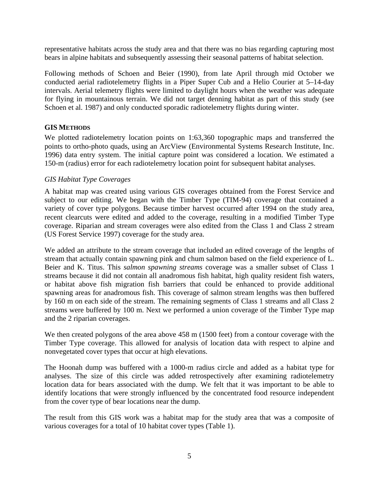representative habitats across the study area and that there was no bias regarding capturing most bears in alpine habitats and subsequently assessing their seasonal patterns of habitat selection.

Following methods of Schoen and Beier (1990), from late April through mid October we conducted aerial radiotelemetry flights in a Piper Super Cub and a Helio Courier at 5–14-day intervals. Aerial telemetry flights were limited to daylight hours when the weather was adequate for flying in mountainous terrain. We did not target denning habitat as part of this study (see Schoen et al. 1987) and only conducted sporadic radiotelemetry flights during winter.

# **GIS METHODS**

We plotted radiotelemetry location points on 1:63,360 topographic maps and transferred the points to ortho-photo quads, using an ArcView (Environmental Systems Research Institute, Inc. 1996) data entry system. The initial capture point was considered a location. We estimated a 150-m (radius) error for each radiotelemetry location point for subsequent habitat analyses.

# *GIS Habitat Type Coverages*

A habitat map was created using various GIS coverages obtained from the Forest Service and subject to our editing. We began with the Timber Type (TIM-94) coverage that contained a variety of cover type polygons. Because timber harvest occurred after 1994 on the study area, recent clearcuts were edited and added to the coverage, resulting in a modified Timber Type coverage. Riparian and stream coverages were also edited from the Class 1 and Class 2 stream (US Forest Service 1997) coverage for the study area.

We added an attribute to the stream coverage that included an edited coverage of the lengths of stream that actually contain spawning pink and chum salmon based on the field experience of L. Beier and K. Titus. This *salmon spawning streams* coverage was a smaller subset of Class 1 streams because it did not contain all anadromous fish habitat, high quality resident fish waters, or habitat above fish migration fish barriers that could be enhanced to provide additional spawning areas for anadromous fish. This coverage of salmon stream lengths was then buffered by 160 m on each side of the stream. The remaining segments of Class 1 streams and all Class 2 streams were buffered by 100 m. Next we performed a union coverage of the Timber Type map and the 2 riparian coverages.

We then created polygons of the area above 458 m (1500 feet) from a contour coverage with the Timber Type coverage. This allowed for analysis of location data with respect to alpine and nonvegetated cover types that occur at high elevations.

The Hoonah dump was buffered with a 1000-m radius circle and added as a habitat type for analyses. The size of this circle was added retrospectively after examining radiotelemetry location data for bears associated with the dump. We felt that it was important to be able to identify locations that were strongly influenced by the concentrated food resource independent from the cover type of bear locations near the dump.

The result from this GIS work was a habitat map for the study area that was a composite of various coverages for a total of 10 habitat cover types (Table 1).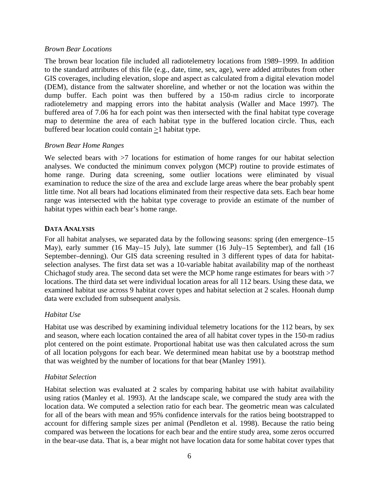### *Brown Bear Locations*

The brown bear location file included all radiotelemetry locations from 1989–1999. In addition to the standard attributes of this file (e.g., date, time, sex, age), were added attributes from other GIS coverages, including elevation, slope and aspect as calculated from a digital elevation model (DEM), distance from the saltwater shoreline, and whether or not the location was within the dump buffer. Each point was then buffered by a 150-m radius circle to incorporate radiotelemetry and mapping errors into the habitat analysis (Waller and Mace 1997). The buffered area of 7.06 ha for each point was then intersected with the final habitat type coverage map to determine the area of each habitat type in the buffered location circle. Thus, each buffered bear location could contain >1 habitat type.

# *Brown Bear Home Ranges*

We selected bears with  $>7$  locations for estimation of home ranges for our habitat selection analyses. We conducted the minimum convex polygon (MCP) routine to provide estimates of home range. During data screening, some outlier locations were eliminated by visual examination to reduce the size of the area and exclude large areas where the bear probably spent little time. Not all bears had locations eliminated from their respective data sets. Each bear home range was intersected with the habitat type coverage to provide an estimate of the number of habitat types within each bear's home range.

# **DATA ANALYSIS**

For all habitat analyses, we separated data by the following seasons: spring (den emergence–15 May), early summer (16 May–15 July), late summer (16 July–15 September), and fall (16 September–denning). Our GIS data screening resulted in 3 different types of data for habitatselection analyses. The first data set was a 10-variable habitat availability map of the northeast Chichagof study area. The second data set were the MCP home range estimates for bears with  $>7$ locations. The third data set were individual location areas for all 112 bears. Using these data, we examined habitat use across 9 habitat cover types and habitat selection at 2 scales. Hoonah dump data were excluded from subsequent analysis.

# *Habitat Use*

Habitat use was described by examining individual telemetry locations for the 112 bears, by sex and season, where each location contained the area of all habitat cover types in the 150-m radius plot centered on the point estimate. Proportional habitat use was then calculated across the sum of all location polygons for each bear. We determined mean habitat use by a bootstrap method that was weighted by the number of locations for that bear (Manley 1991).

# *Habitat Selection*

Habitat selection was evaluated at 2 scales by comparing habitat use with habitat availability using ratios (Manley et al. 1993). At the landscape scale, we compared the study area with the location data. We computed a selection ratio for each bear. The geometric mean was calculated for all of the bears with mean and 95% confidence intervals for the ratios being bootstrapped to account for differing sample sizes per animal (Pendleton et al. 1998). Because the ratio being compared was between the locations for each bear and the entire study area, some zeros occurred in the bear-use data. That is, a bear might not have location data for some habitat cover types that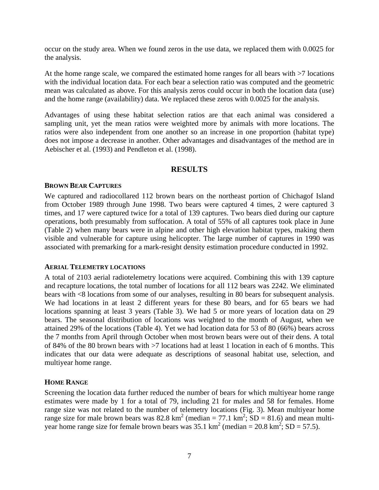occur on the study area. When we found zeros in the use data, we replaced them with 0.0025 for the analysis.

At the home range scale, we compared the estimated home ranges for all bears with >7 locations with the individual location data. For each bear a selection ratio was computed and the geometric mean was calculated as above. For this analysis zeros could occur in both the location data (use) and the home range (availability) data. We replaced these zeros with 0.0025 for the analysis.

Advantages of using these habitat selection ratios are that each animal was considered a sampling unit, yet the mean ratios were weighted more by animals with more locations. The ratios were also independent from one another so an increase in one proportion (habitat type) does not impose a decrease in another. Other advantages and disadvantages of the method are in Aebischer et al. (1993) and Pendleton et al. (1998).

### **RESULTS**

### **BROWN BEAR CAPTURES**

We captured and radiocollared 112 brown bears on the northeast portion of Chichagof Island from October 1989 through June 1998. Two bears were captured 4 times, 2 were captured 3 times, and 17 were captured twice for a total of 139 captures. Two bears died during our capture operations, both presumably from suffocation. A total of 55% of all captures took place in June (Table 2) when many bears were in alpine and other high elevation habitat types, making them visible and vulnerable for capture using helicopter. The large number of captures in 1990 was associated with premarking for a mark-resight density estimation procedure conducted in 1992.

#### **AERIAL TELEMETRY LOCATIONS**

A total of 2103 aerial radiotelemetry locations were acquired. Combining this with 139 capture and recapture locations, the total number of locations for all 112 bears was 2242. We eliminated bears with <8 locations from some of our analyses, resulting in 80 bears for subsequent analysis. We had locations in at least 2 different years for these 80 bears, and for 65 bears we had locations spanning at least 3 years (Table 3). We had 5 or more years of location data on 29 bears. The seasonal distribution of locations was weighted to the month of August, when we attained 29% of the locations (Table 4). Yet we had location data for 53 of 80 (66%) bears across the 7 months from April through October when most brown bears were out of their dens. A total of 84% of the 80 brown bears with >7 locations had at least 1 location in each of 6 months. This indicates that our data were adequate as descriptions of seasonal habitat use, selection, and multiyear home range.

#### **HOME RANGE**

Screening the location data further reduced the number of bears for which multiyear home range estimates were made by 1 for a total of 79, including 21 for males and 58 for females. Home range size was not related to the number of telemetry locations (Fig. 3). Mean multiyear home range size for male brown bears was  $82.8 \text{ km}^2$  (median = 77.1 km<sup>2</sup>; SD = 81.6) and mean multiyear home range size for female brown bears was  $35.1 \text{ km}^2$  (median =  $20.8 \text{ km}^2$ ; SD =  $57.5$ ).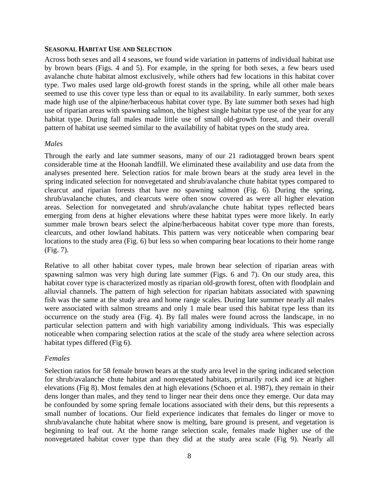#### **SEASONAL HABITAT USE AND SELECTION**

Across both sexes and all 4 seasons, we found wide variation in patterns of individual habitat use by brown bears (Figs. 4 and 5). For example, in the spring for both sexes, a few bears used avalanche chute habitat almost exclusively, while others had few locations in this habitat cover type. Two males used large old-growth forest stands in the spring, while all other male bears seemed to use this cover type less than or equal to its availability. In early summer, both sexes made high use of the alpine/herbaceous habitat cover type. By late summer both sexes had high use of riparian areas with spawning salmon, the highest single habitat type use of the year for any habitat type. During fall males made little use of small old-growth forest, and their overall pattern of habitat use seemed similar to the availability of habitat types on the study area.

#### *Males*

Through the early and late summer seasons, many of our 21 radiotagged brown bears spent considerable time at the Hoonah landfill. We eliminated these availability and use data from the analyses presented here. Selection ratios for male brown bears at the study area level in the spring indicated selection for nonvegetated and shrub/avalanche chute habitat types compared to clearcut and riparian forests that have no spawning salmon (Fig. 6). During the spring, shrub/avalanche chutes, and clearcuts were often snow covered as were all higher elevation areas. Selection for nonvegetated and shrub/avalanche chute habitat types reflected bears emerging from dens at higher elevations where these habitat types were more likely. In early summer male brown bears select the alpine/herbaceous habitat cover type more than forests, clearcuts, and other lowland habitats. This pattern was very noticeable when comparing bear locations to the study area (Fig. 6) but less so when comparing bear locations to their home range (Fig. 7).

Relative to all other habitat cover types, male brown bear selection of riparian areas with spawning salmon was very high during late summer (Figs. 6 and 7). On our study area, this habitat cover type is characterized mostly as riparian old-growth forest, often with floodplain and alluvial channels. The pattern of high selection for riparian habitats associated with spawning fish was the same at the study area and home range scales. During late summer nearly all males were associated with salmon streams and only 1 male bear used this habitat type less than its occurrence on the study area (Fig. 4). By fall males were found across the landscape, in no particular selection pattern and with high variability among individuals. This was especially noticeable when comparing selection ratios at the scale of the study area where selection across habitat types differed (Fig 6).

# *Females*

Selection ratios for 58 female brown bears at the study area level in the spring indicated selection for shrub/avalanche chute habitat and nonvegetated habitats, primarily rock and ice at higher elevations (Fig 8). Most females den at high elevations (Schoen et al. 1987), they remain in their dens longer than males, and they tend to linger near their dens once they emerge. Our data may be confounded by some spring female locations associated with their dens, but this represents a small number of locations. Our field experience indicates that females do linger or move to shrub/avalanche chute habitat where snow is melting, bare ground is present, and vegetation is beginning to leaf out. At the home range selection scale, females made higher use of the nonvegetated habitat cover type than they did at the study area scale (Fig 9). Nearly all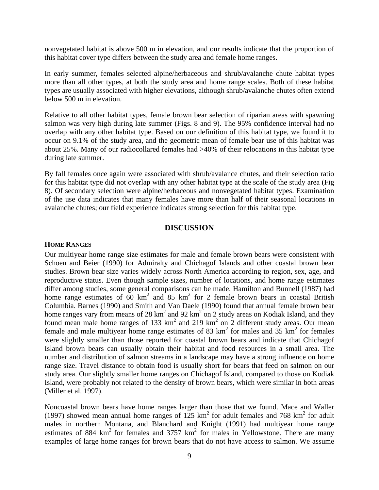nonvegetated habitat is above 500 m in elevation, and our results indicate that the proportion of this habitat cover type differs between the study area and female home ranges.

In early summer, females selected alpine/herbaceous and shrub/avalanche chute habitat types more than all other types, at both the study area and home range scales. Both of these habitat types are usually associated with higher elevations, although shrub/avalanche chutes often extend below 500 m in elevation.

Relative to all other habitat types, female brown bear selection of riparian areas with spawning salmon was very high during late summer (Figs. 8 and 9). The 95% confidence interval had no overlap with any other habitat type. Based on our definition of this habitat type, we found it to occur on 9.1% of the study area, and the geometric mean of female bear use of this habitat was about 25%. Many of our radiocollared females had >40% of their relocations in this habitat type during late summer.

By fall females once again were associated with shrub/avalance chutes, and their selection ratio for this habitat type did not overlap with any other habitat type at the scale of the study area (Fig 8). Of secondary selection were alpine/herbaceous and nonvegetated habitat types. Examination of the use data indicates that many females have more than half of their seasonal locations in avalanche chutes; our field experience indicates strong selection for this habitat type.

# **DISCUSSION**

#### **HOME RANGES**

Our multiyear home range size estimates for male and female brown bears were consistent with Schoen and Beier (1990) for Admiralty and Chichagof Islands and other coastal brown bear studies. Brown bear size varies widely across North America according to region, sex, age, and reproductive status. Even though sample sizes, number of locations, and home range estimates differ among studies, some general comparisons can be made. Hamilton and Bunnell (1987) had home range estimates of  $60 \text{ km}^2$  and  $85 \text{ km}^2$  for 2 female brown bears in coastal British Columbia. Barnes (1990) and Smith and Van Daele (1990) found that annual female brown bear home ranges vary from means of 28  $km^2$  and 92  $km^2$  on 2 study areas on Kodiak Island, and they found mean male home ranges of 133  $\text{km}^2$  and 219  $\text{km}^2$  on 2 different study areas. Our mean female and male multiyear home range estimates of 83  $\text{km}^2$  for males and 35  $\text{km}^2$  for females were slightly smaller than those reported for coastal brown bears and indicate that Chichagof Island brown bears can usually obtain their habitat and food resources in a small area. The number and distribution of salmon streams in a landscape may have a strong influence on home range size. Travel distance to obtain food is usually short for bears that feed on salmon on our study area. Our slightly smaller home ranges on Chichagof Island, compared to those on Kodiak Island, were probably not related to the density of brown bears, which were similar in both areas (Miller et al. 1997).

Noncoastal brown bears have home ranges larger than those that we found. Mace and Waller (1997) showed mean annual home ranges of  $125 \text{ km}^2$  for adult females and 768 km<sup>2</sup> for adult males in northern Montana, and Blanchard and Knight (1991) had multiyear home range estimates of 884  $km^2$  for females and 3757  $km^2$  for males in Yellowstone. There are many examples of large home ranges for brown bears that do not have access to salmon. We assume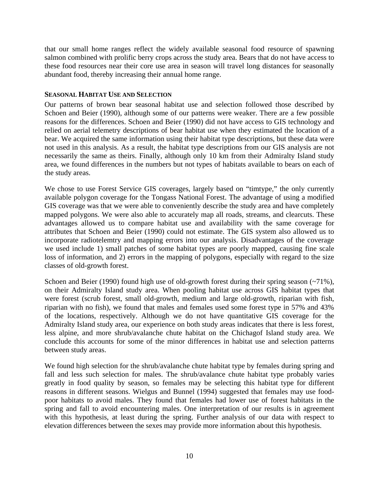that our small home ranges reflect the widely available seasonal food resource of spawning salmon combined with prolific berry crops across the study area. Bears that do not have access to these food resources near their core use area in season will travel long distances for seasonally abundant food, thereby increasing their annual home range.

# **SEASONAL HABITAT USE AND SELECTION**

Our patterns of brown bear seasonal habitat use and selection followed those described by Schoen and Beier (1990), although some of our patterns were weaker. There are a few possible reasons for the differences. Schoen and Beier (1990) did not have access to GIS technology and relied on aerial telemetry descriptions of bear habitat use when they estimated the location of a bear. We acquired the same information using their habitat type descriptions, but these data were not used in this analysis. As a result, the habitat type descriptions from our GIS analysis are not necessarily the same as theirs. Finally, although only 10 km from their Admiralty Island study area, we found differences in the numbers but not types of habitats available to bears on each of the study areas.

We chose to use Forest Service GIS coverages, largely based on "timtype," the only currently available polygon coverage for the Tongass National Forest. The advantage of using a modified GIS coverage was that we were able to conveniently describe the study area and have completely mapped polygons. We were also able to accurately map all roads, streams, and clearcuts. These advantages allowed us to compare habitat use and availability with the same coverage for attributes that Schoen and Beier (1990) could not estimate. The GIS system also allowed us to incorporate radiotelemtry and mapping errors into our analysis. Disadvantages of the coverage we used include 1) small patches of some habitat types are poorly mapped, causing fine scale loss of information, and 2) errors in the mapping of polygons, especially with regard to the size classes of old-growth forest.

Schoen and Beier (1990) found high use of old-growth forest during their spring season (~71%), on their Admiralty Island study area. When pooling habitat use across GIS habitat types that were forest (scrub forest, small old-growth, medium and large old-growth, riparian with fish, riparian with no fish), we found that males and females used some forest type in 57% and 43% of the locations, respectively. Although we do not have quantitative GIS coverage for the Admiralty Island study area, our experience on both study areas indicates that there is less forest, less alpine, and more shrub/avalanche chute habitat on the Chichagof Island study area. We conclude this accounts for some of the minor differences in habitat use and selection patterns between study areas.

We found high selection for the shrub/avalanche chute habitat type by females during spring and fall and less such selection for males. The shrub/avalance chute habitat type probably varies greatly in food quality by season, so females may be selecting this habitat type for different reasons in different seasons. Wielgus and Bunnel (1994) suggested that females may use foodpoor habitats to avoid males. They found that females had lower use of forest habitats in the spring and fall to avoid encountering males. One interpretation of our results is in agreement with this hypothesis, at least during the spring. Further analysis of our data with respect to elevation differences between the sexes may provide more information about this hypothesis.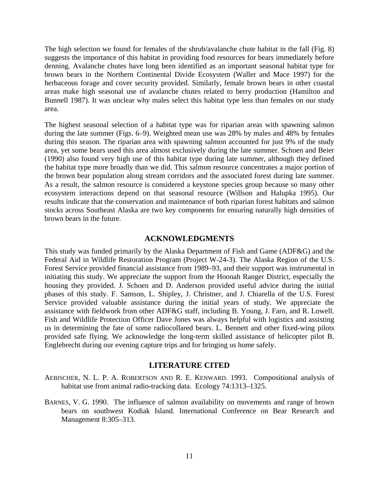The high selection we found for females of the shrub/avalanche chute habitat in the fall (Fig. 8) suggests the importance of this habitat in providing food resources for bears immediately before denning. Avalanche chutes have long been identified as an important seasonal habitat type for brown bears in the Northern Continental Divide Ecosystem (Waller and Mace 1997) for the herbaceous forage and cover security provided. Similarly, female brown bears in other coastal areas make high seasonal use of avalanche chutes related to berry production (Hamilton and Bunnell 1987). It was unclear why males select this habitat type less than females on our study area.

The highest seasonal selection of a habitat type was for riparian areas with spawning salmon during the late summer (Figs. 6–9). Weighted mean use was 28% by males and 48% by females during this season. The riparian area with spawning salmon accounted for just 9% of the study area, yet some bears used this area almost exclusively during the late summer. Schoen and Beier (1990) also found very high use of this habitat type during late summer, although they defined the habitat type more broadly than we did. This salmon resource concentrates a major portion of the brown bear population along stream corridors and the associated forest during late summer. As a result, the salmon resource is considered a keystone species group because so many other ecosystem interactions depend on that seasonal resource (Willson and Halupka 1995). Our results indicate that the conservation and maintenance of both riparian forest habitats and salmon stocks across Southeast Alaska are two key components for ensuring naturally high densities of brown bears in the future.

#### **ACKNOWLEDGMENTS**

This study was funded primarily by the Alaska Department of Fish and Game (ADF&G) and the Federal Aid in Wildlife Restoration Program (Project W-24-3). The Alaska Region of the U.S. Forest Service provided financial assistance from 1989–93, and their support was instrumental in initiating this study. We appreciate the support from the Hoonah Ranger District, especially the housing they provided. J. Schoen and D. Anderson provided useful advice during the initial phases of this study. F. Samson, L. Shipley, J. Christner, and J. Chiarella of the U.S. Forest Service provided valuable assistance during the initial years of study. We appreciate the assistance with fieldwork from other ADF&G staff, including B. Young, J. Faro, and R. Lowell. Fish and Wildlife Protection Officer Dave Jones was always helpful with logistics and assisting us in determining the fate of some radiocollared bears. L. Bennett and other fixed-wing pilots provided safe flying. We acknowledge the long-term skilled assistance of helicopter pilot B. Englebrecht during our evening capture trips and for bringing us home safely.

#### **LITERATURE CITED**

- AEBISCHER, N. L. P. A. ROBERTSON AND R. E. KENWARD. 1993. Compositional analysis of habitat use from animal radio-tracking data. Ecology 74:1313–1325.
- BARNES, V. G. 1990. The influence of salmon availability on movements and range of brown bears on southwest Kodiak Island. International Conference on Bear Research and Management 8:305–313.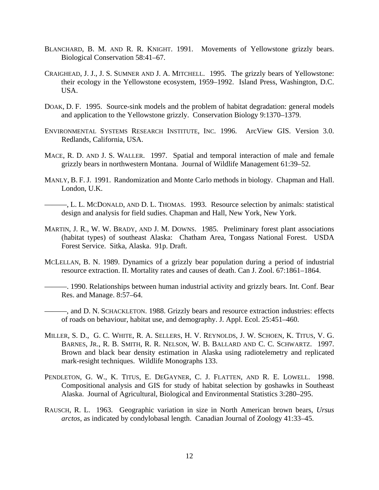- BLANCHARD, B. M. AND R. R. KNIGHT. 1991. Movements of Yellowstone grizzly bears. Biological Conservation 58:41–67.
- CRAIGHEAD, J. J., J. S. SUMNER AND J. A. MITCHELL. 1995. The grizzly bears of Yellowstone: their ecology in the Yellowstone ecosystem, 1959–1992. Island Press, Washington, D.C. USA.
- DOAK, D. F. 1995. Source-sink models and the problem of habitat degradation: general models and application to the Yellowstone grizzly. Conservation Biology 9:1370–1379.
- ENVIRONMENTAL SYSTEMS RESEARCH INSTITUTE, INC. 1996. ArcView GIS. Version 3.0. Redlands, California, USA.
- MACE, R. D. AND J. S. WALLER. 1997. Spatial and temporal interaction of male and female grizzly bears in northwestern Montana. Journal of Wildlife Management 61:39–52.
- MANLY, B. F. J. 1991. Randomization and Monte Carlo methods in biology. Chapman and Hall. London, U.K.
- ———, L. L. MCDONALD, AND D. L. THOMAS. 1993. Resource selection by animals: statistical design and analysis for field sudies. Chapman and Hall, New York, New York.
- MARTIN, J. R., W. W. BRADY, AND J. M. DOWNS. 1985. Preliminary forest plant associations (habitat types) of southeast Alaska: Chatham Area, Tongass National Forest. USDA Forest Service. Sitka, Alaska. 91p. Draft.
- MCLELLAN, B. N. 1989. Dynamics of a grizzly bear population during a period of industrial resource extraction. II. Mortality rates and causes of death. Can J. Zool. 67:1861–1864.
- ———. 1990. Relationships between human industrial activity and grizzly bears. Int. Conf. Bear Res. and Manage. 8:57–64.
- ———, and D. N. SCHACKLETON. 1988. Grizzly bears and resource extraction industries: effects of roads on behaviour, habitat use, and demography. J. Appl. Ecol. 25:451–460.
- MILLER, S. D., G. C. WHITE, R. A. SELLERS, H. V. REYNOLDS, J. W. SCHOEN, K. TITUS, V. G. BARNES, JR., R. B. SMITH, R. R. NELSON, W. B. BALLARD AND C. C. SCHWARTZ. 1997. Brown and black bear density estimation in Alaska using radiotelemetry and replicated mark-resight techniques. Wildlife Monographs 133.
- PENDLETON, G. W., K. TITUS, E. DEGAYNER, C. J. FLATTEN, AND R. E. LOWELL. 1998. Compositional analysis and GIS for study of habitat selection by goshawks in Southeast Alaska. Journal of Agricultural, Biological and Environmental Statistics 3:280–295.
- RAUSCH, R. L. 1963. Geographic variation in size in North American brown bears, *Ursus arctos*, as indicated by condylobasal length. Canadian Journal of Zoology 41:33–45.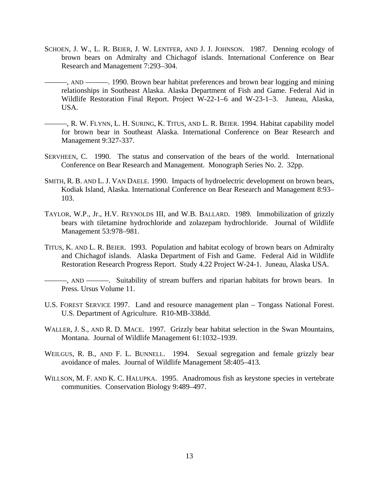- SCHOEN, J. W., L. R. BEIER, J. W. LENTFER, AND J. J. JOHNSON. 1987. Denning ecology of brown bears on Admiralty and Chichagof islands. International Conference on Bear Research and Management 7:293–304.
- —, AND ————. 1990. Brown bear habitat preferences and brown bear logging and mining relationships in Southeast Alaska. Alaska Department of Fish and Game. Federal Aid in Wildlife Restoration Final Report. Project W-22-1–6 and W-23-1–3. Juneau, Alaska, USA.
- ———, R. W. FLYNN, L. H. SURING, K. TITUS, AND L. R. BEIER. 1994. Habitat capability model for brown bear in Southeast Alaska. International Conference on Bear Research and Management 9:327-337.
- SERVHEEN, C. 1990. The status and conservation of the bears of the world. International Conference on Bear Research and Management. Monograph Series No. 2. 32pp.
- SMITH, R. B. AND L. J. VAN DAELE. 1990. Impacts of hydroelectric development on brown bears, Kodiak Island, Alaska. International Conference on Bear Research and Management 8:93– 103.
- TAYLOR, W.P., Jr., H.V. REYNOLDS III, and W.B. BALLARD. 1989. Immobilization of grizzly bears with tiletamine hydrochloride and zolazepam hydrochloride. Journal of Wildlife Management 53:978–981.
- TITUS, K. AND L. R. BEIER. 1993. Population and habitat ecology of brown bears on Admiralty and Chichagof islands. Alaska Department of Fish and Game. Federal Aid in Wildlife Restoration Research Progress Report. Study 4.22 Project W-24-1. Juneau, Alaska USA.

——, AND ———. Suitability of stream buffers and riparian habitats for brown bears. In Press. Ursus Volume 11.

- U.S. FOREST SERVICE 1997. Land and resource management plan Tongass National Forest. U.S. Department of Agriculture. R10-MB-338dd.
- WALLER, J. S., AND R. D. MACE. 1997. Grizzly bear habitat selection in the Swan Mountains, Montana. Journal of Wildlife Management 61:1032–1939.
- WEILGUS, R. B., AND F. L. BUNNELL. 1994. Sexual segregation and female grizzly bear avoidance of males. Journal of Wildlife Management 58:405–413.
- WILLSON, M. F. AND K. C. HALUPKA. 1995. Anadromous fish as keystone species in vertebrate communities. Conservation Biology 9:489–497.